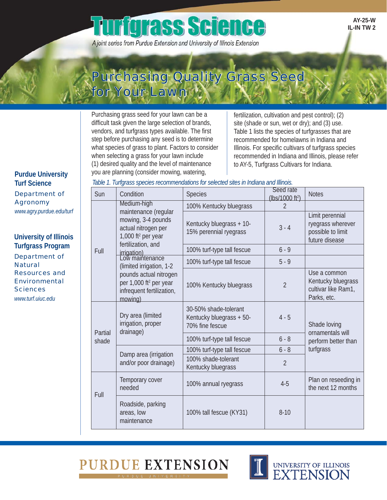# **urfqrass Science**

A joint series from Purdue Extension and University of Illinois Extension

**AY-25-W IL-IN TW 2**

# Purchasing Quality Grass Seed for Your Lawn

Purchasing grass seed for your lawn can be a difficult task given the large selection of brands, vendors, and turfgrass types available. The first step before purchasing any seed is to determine what species of grass to plant. Factors to consider when selecting a grass for your lawn include (1) desired quality and the level of maintenance you are planning (consider mowing, watering,

fertilization, cultivation and pest control); (2) site (shade or sun, wet or dry); and (3) use. Table 1 lists the species of turfgrasses that are recommended for homelawns in Indiana and Illinois. For specific cultivars of turfgrass species recommended in Indiana and Illinois, please refer to AY-5, Turfgrass Cultivars for Indiana.

**Purdue University Turf Science** Department of Agronomy

*www.agry.purdue.edu/turf*

**University of Illinois Turfgrass Program** Department of **Natural** Resources and Environmental **Sciences** *www.turf.uiuc.edu*

| Table 1. Turfgrass species recommendations for selected sites in Indiana and Illinois. |  |  |  |
|----------------------------------------------------------------------------------------|--|--|--|
|                                                                                        |  |  |  |

| Sun              | Condition                                                                                                                                                                                                                                                                                       | <b>Species</b>                                                       | Seed rate                   | <b>Notes</b>                                                                |  |
|------------------|-------------------------------------------------------------------------------------------------------------------------------------------------------------------------------------------------------------------------------------------------------------------------------------------------|----------------------------------------------------------------------|-----------------------------|-----------------------------------------------------------------------------|--|
|                  | Medium-high                                                                                                                                                                                                                                                                                     |                                                                      | (lbs/1000 ft <sup>2</sup> ) |                                                                             |  |
| Full             | maintenance (regular<br>mowing, 3-4 pounds<br>actual nitrogen per<br>1,000 ft <sup>2</sup> per year<br>fertilization, and<br>irrigation)<br>Low maintenance<br>(limited irrigation, 1-2<br>pounds actual nitrogen<br>per 1,000 ft <sup>2</sup> per year<br>infrequent fertilization,<br>mowing) | 100% Kentucky bluegrass                                              | $\overline{2}$              |                                                                             |  |
|                  |                                                                                                                                                                                                                                                                                                 | Kentucky bluegrass + 10-<br>15% perennial ryegrass                   | $3 - 4$                     | Limit perennial<br>ryegrass wherever<br>possible to limit<br>future disease |  |
|                  |                                                                                                                                                                                                                                                                                                 | 100% turf-type tall fescue                                           | $6 - 9$                     |                                                                             |  |
|                  |                                                                                                                                                                                                                                                                                                 | 100% turf-type tall fescue                                           | $5 - 9$                     |                                                                             |  |
|                  |                                                                                                                                                                                                                                                                                                 | 100% Kentucky bluegrass                                              | $\overline{2}$              | Use a common<br>Kentucky bluegrass<br>cultivar like Ram1,<br>Parks, etc.    |  |
| Partial<br>shade | Dry area (limited<br>irrigation, proper<br>drainage)                                                                                                                                                                                                                                            | 30-50% shade-tolerant<br>Kentucky bluegrass + 50-<br>70% fine fescue | $4 - 5$                     | Shade loving<br>ornamentals will                                            |  |
|                  |                                                                                                                                                                                                                                                                                                 | 100% turf-type tall fescue                                           | $6 - 8$                     | perform better than                                                         |  |
|                  | Damp area (irrigation<br>and/or poor drainage)                                                                                                                                                                                                                                                  | 100% turf-type tall fescue                                           | $6 - 8$                     | turfgrass                                                                   |  |
|                  |                                                                                                                                                                                                                                                                                                 | 100% shade-tolerant<br>Kentucky bluegrass                            | $\overline{2}$              |                                                                             |  |
| Full             | Temporary cover<br>needed                                                                                                                                                                                                                                                                       | 100% annual ryegrass                                                 | $4 - 5$                     | Plan on reseeding in<br>the next 12 months                                  |  |
|                  | Roadside, parking<br>areas, low<br>maintenance                                                                                                                                                                                                                                                  | 100% tall fescue (KY31)                                              | $8 - 10$                    |                                                                             |  |



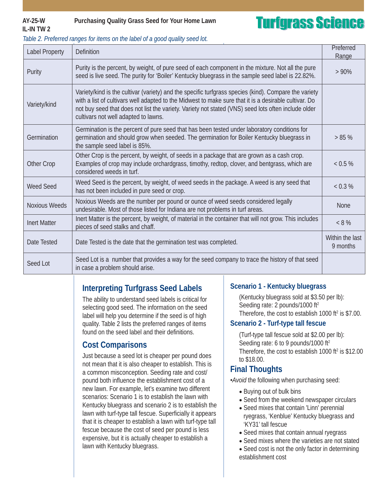## **IL-IN TW 2**

### **AY-25-W Purchasing Quality Grass Seed for Your Home Lawn**

# **Turfgrass Science**

| <b>Label Property</b> | <b>Definition</b>                                                                                                                                                                                                                                                                                                                                             | Preferred<br>Range |
|-----------------------|---------------------------------------------------------------------------------------------------------------------------------------------------------------------------------------------------------------------------------------------------------------------------------------------------------------------------------------------------------------|--------------------|
| Purity                | Purity is the percent, by weight, of pure seed of each component in the mixture. Not all the pure<br>seed is live seed. The purity for 'Boiler' Kentucky bluegrass in the sample seed label is 22.82%.                                                                                                                                                        | $>90\%$            |
| Variety/kind          | Variety/kind is the cultivar (variety) and the specific turfgrass species (kind). Compare the variety<br>with a list of cultivars well adapted to the Midwest to make sure that it is a desirable cultivar. Do<br>not buy seed that does not list the variety. Variety not stated (VNS) seed lots often include older<br>cultivars not well adapted to lawns. |                    |
| Germination           | Germination is the percent of pure seed that has been tested under laboratory conditions for<br>germination and should grow when seeded. The germination for Boiler Kentucky bluegrass in<br>the sample seed label is 85%.                                                                                                                                    | $> 85 \%$          |
| Other Crop            | Other Crop is the percent, by weight, of seeds in a package that are grown as a cash crop.<br>Examples of crop may include orchardgrass, timothy, redtop, clover, and bentgrass, which are<br>considered weeds in turf.                                                                                                                                       | < 0.5 %            |
| <b>Weed Seed</b>      | Weed Seed is the percent, by weight, of weed seeds in the package. A weed is any seed that<br>has not been included in pure seed or crop.                                                                                                                                                                                                                     | < 0.3 %            |
| <b>Noxious Weeds</b>  | Noxious Weeds are the number per pound or ounce of weed seeds considered legally<br>undesirable. Most of those listed for Indiana are not problems in turf areas.                                                                                                                                                                                             |                    |
| <b>Inert Matter</b>   | Inert Matter is the percent, by weight, of material in the container that will not grow. This includes<br>pieces of seed stalks and chaff.                                                                                                                                                                                                                    |                    |
| Date Tested           | Date Tested is the date that the germination test was completed.                                                                                                                                                                                                                                                                                              |                    |
| Seed Lot              | Seed Lot is a number that provides a way for the seed company to trace the history of that seed<br>in case a problem should arise.                                                                                                                                                                                                                            |                    |

#### *Table 2. Preferred ranges for items on the label of a good quality seed lot.*

### **Interpreting Turfgrass Seed Labels**

The ability to understand seed labels is critical for selecting good seed. The information on the seed label will help you determine if the seed is of high quality. Table 2 lists the preferred ranges of items found on the seed label and their definitions.

### **Cost Comparisons**

Just because a seed lot is cheaper per pound does not mean that it is also cheaper to establish. This is a common misconception. Seeding rate and cost/ pound both influence the establishment cost of a new lawn. For example, let's examine two different scenarios: Scenario 1 is to establish the lawn with Kentucky bluegrass and scenario 2 is to establish the lawn with turf-type tall fescue. Superficially it appears that it is cheaper to establish a lawn with turf-type tall fescue because the cost of seed per pound is less expensive, but it is actually cheaper to establish a lawn with Kentucky bluegrass.

#### **Scenario 1 - Kentucky bluegrass**

(Kentucky bluegrass sold at \$3.50 per lb): Seeding rate: 2 pounds/1000 ft<sup>2</sup> Therefore, the cost to establish  $1000$  ft<sup>2</sup> is \$7.00.

#### **Scenario 2 - Turf-type tall fescue**

(Turf-type tall fescue sold at \$2.00 per lb): Seeding rate: 6 to 9 pounds/1000 ft<sup>2</sup> Therefore, the cost to establish  $1000$  ft<sup>2</sup> is \$12.00 to \$18.00.

### **Final Thoughts**

*•Avoid* the following when purchasing seed:

- Buying out of bulk bins
- Seed from the weekend newspaper circulars
- Seed mixes that contain 'Linn' perennial ryegrass, 'Kenblue' Kentucky bluegrass and 'KY31' tall fescue
- Seed mixes that contain annual ryegrass
- Seed mixes where the varieties are not stated
- Seed cost is not the only factor in determining establishment cost